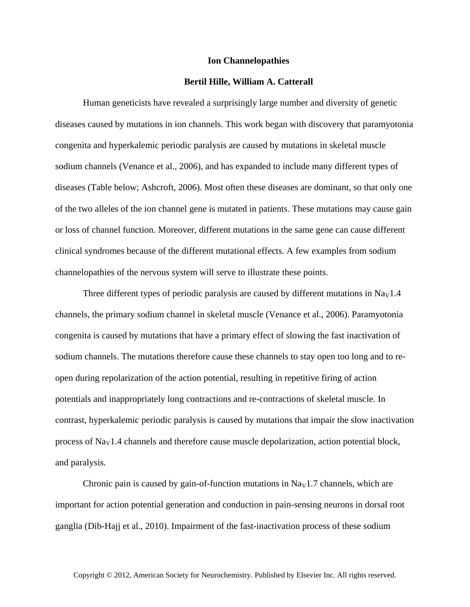## **Ion Channelopathies**

## **Bertil Hille, William A. Catterall**

Human geneticists have revealed a surprisingly large number and diversity of genetic diseases caused by mutations in ion channels. This work began with discovery that paramyotonia congenita and hyperkalemic periodic paralysis are caused by mutations in skeletal muscle sodium channels (Venance et al., 2006), and has expanded to include many different types of diseases (Table below; Ashcroft, 2006). Most often these diseases are dominant, so that only one of the two alleles of the ion channel gene is mutated in patients. These mutations may cause gain or loss of channel function. Moreover, different mutations in the same gene can cause different clinical syndromes because of the different mutational effects. A few examples from sodium channelopathies of the nervous system will serve to illustrate these points.

Three different types of periodic paralysis are caused by different mutations in  $\text{Na}_{\text{V}}1.4$ channels, the primary sodium channel in skeletal muscle (Venance et al., 2006). Paramyotonia congenita is caused by mutations that have a primary effect of slowing the fast inactivation of sodium channels. The mutations therefore cause these channels to stay open too long and to reopen during repolarization of the action potential, resulting in repetitive firing of action potentials and inappropriately long contractions and re-contractions of skeletal muscle. In contrast, hyperkalemic periodic paralysis is caused by mutations that impair the slow inactivation process of  $\text{Na}_{\text{V}}1.4$  channels and therefore cause muscle depolarization, action potential block, and paralysis.

Chronic pain is caused by gain-of-function mutations in  $\text{Na}_{\text{V}}1.7$  channels, which are important for action potential generation and conduction in pain-sensing neurons in dorsal root ganglia (Dib-Hajj et al., 2010). Impairment of the fast-inactivation process of these sodium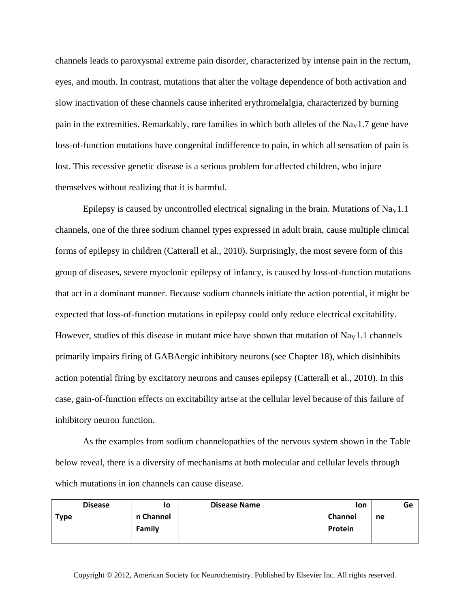channels leads to paroxysmal extreme pain disorder, characterized by intense pain in the rectum, eyes, and mouth. In contrast, mutations that alter the voltage dependence of both activation and slow inactivation of these channels cause inherited erythromelalgia, characterized by burning pain in the extremities. Remarkably, rare families in which both alleles of the Na<sub>V</sub>1.7 gene have loss-of-function mutations have congenital indifference to pain, in which all sensation of pain is lost. This recessive genetic disease is a serious problem for affected children, who injure themselves without realizing that it is harmful.

Epilepsy is caused by uncontrolled electrical signaling in the brain. Mutations of  $\text{Na}_{\text{V}}1.1$ channels, one of the three sodium channel types expressed in adult brain, cause multiple clinical forms of epilepsy in children (Catterall et al., 2010). Surprisingly, the most severe form of this group of diseases, severe myoclonic epilepsy of infancy, is caused by loss-of-function mutations that act in a dominant manner. Because sodium channels initiate the action potential, it might be expected that loss-of-function mutations in epilepsy could only reduce electrical excitability. However, studies of this disease in mutant mice have shown that mutation of  $\text{Na}_{\text{V}}1.1$  channels primarily impairs firing of GABAergic inhibitory neurons (see Chapter 18), which disinhibits action potential firing by excitatory neurons and causes epilepsy (Catterall et al., 2010). In this case, gain-of-function effects on excitability arise at the cellular level because of this failure of inhibitory neuron function.

As the examples from sodium channelopathies of the nervous system shown in the Table below reveal, there is a diversity of mechanisms at both molecular and cellular levels through which mutations in ion channels can cause disease.

| <b>Disease</b> |           | lo | <b>Disease Name</b> | lon     |    | Ge |
|----------------|-----------|----|---------------------|---------|----|----|
| <b>Type</b>    | n Channel |    |                     | Channel | ne |    |
|                | Family    |    |                     | Protein |    |    |
|                |           |    |                     |         |    |    |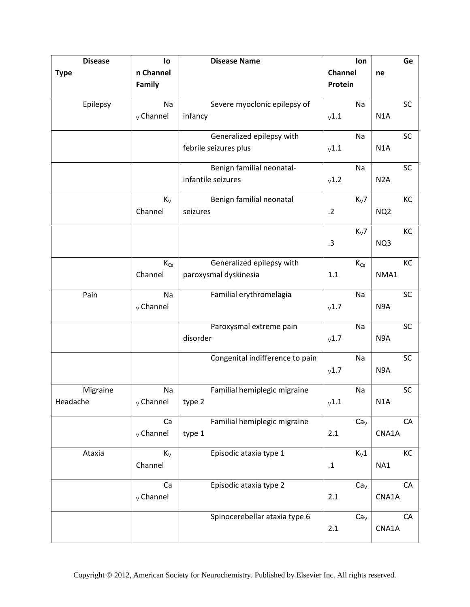| <b>Disease</b> | lo                 | <b>Disease Name</b>             | lon             | Ge               |
|----------------|--------------------|---------------------------------|-----------------|------------------|
| <b>Type</b>    | n Channel          |                                 | Channel         | ne               |
|                | Family             |                                 | Protein         |                  |
|                |                    |                                 |                 |                  |
| Epilepsy       | Na                 | Severe myoclonic epilepsy of    | Na              | SC               |
|                | $v$ Channel        | infancy                         | v1.1            | N <sub>1</sub> A |
|                |                    |                                 |                 |                  |
|                |                    | Generalized epilepsy with       | Na              | SC               |
|                |                    | febrile seizures plus           | v1.1            | N1A              |
|                |                    | Benign familial neonatal-       | Na              | SC               |
|                |                    | infantile seizures              | v1.2            | N <sub>2</sub> A |
|                |                    |                                 |                 |                  |
|                | $K_V$              | Benign familial neonatal        | $K_V$ 7         | KC               |
|                | Channel            | seizures                        | .2              | NQ <sub>2</sub>  |
|                |                    |                                 |                 |                  |
|                |                    |                                 | $K_V$ 7         | KC               |
|                |                    |                                 | .3              | NQ3              |
|                | $K_{Ca}$           | Generalized epilepsy with       | $K_{Ca}$        | KC               |
|                | Channel            | paroxysmal dyskinesia           | 1.1             | NMA1             |
|                |                    |                                 |                 |                  |
| Pain           | Na                 | Familial erythromelagia         | Na              | SC               |
|                | $v$ Channel        |                                 | v1.7            | N9A              |
|                |                    |                                 |                 |                  |
|                |                    | Paroxysmal extreme pain         | Na              | SC               |
|                |                    | disorder                        | v1.7            | N <sub>9</sub> A |
|                |                    |                                 |                 |                  |
|                |                    | Congenital indifference to pain | Na              | SC               |
|                |                    |                                 | v1.7            | N9A              |
| Migraine       | Na                 | Familial hemiplegic migraine    | Na              | <b>SC</b>        |
| Headache       | $_{\rm V}$ Channel | type 2                          | v1.1            | N <sub>1</sub> A |
|                |                    |                                 |                 |                  |
|                | Ca                 | Familial hemiplegic migraine    | Ca <sub>V</sub> | CA               |
|                | $v$ Channel        | type 1                          | 2.1             | CNA1A            |
|                |                    |                                 |                 |                  |
| Ataxia         | $K_V$              | Episodic ataxia type 1          | $K_v1$          | KC               |
|                | Channel            |                                 | $\cdot$ 1       | NA1              |
|                | Ca                 | Episodic ataxia type 2          | Ca <sub>V</sub> | CA               |
|                | $v$ Channel        |                                 | 2.1             | CNA1A            |
|                |                    |                                 |                 |                  |
|                |                    | Spinocerebellar ataxia type 6   | Ca <sub>v</sub> | CA               |
|                |                    |                                 | 2.1             | CNA1A            |
|                |                    |                                 |                 |                  |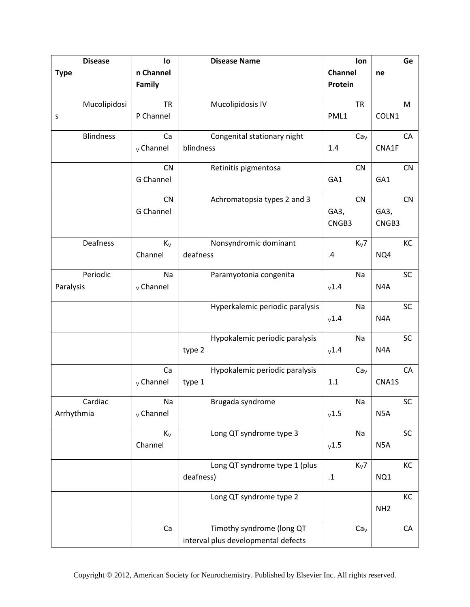| <b>Disease</b>   | lo          | <b>Disease Name</b>                 | lon                |                  | Ge        |
|------------------|-------------|-------------------------------------|--------------------|------------------|-----------|
| <b>Type</b>      | n Channel   |                                     | Channel            | ne               |           |
|                  | Family      |                                     | Protein            |                  |           |
|                  |             |                                     |                    |                  |           |
| Mucolipidosi     | <b>TR</b>   | Mucolipidosis IV                    | <b>TR</b>          |                  | M         |
| S                | P Channel   |                                     | PML1               | COLN1            |           |
|                  |             |                                     |                    |                  |           |
| <b>Blindness</b> | Ca          | Congenital stationary night         | Ca <sub>v</sub>    |                  | CA        |
|                  | $v$ Channel | blindness                           | 1.4                | CNA1F            |           |
|                  |             |                                     |                    |                  |           |
|                  | <b>CN</b>   | Retinitis pigmentosa                | CN                 |                  | CN        |
|                  | G Channel   |                                     | GA1                | GA1              |           |
|                  | <b>CN</b>   | Achromatopsia types 2 and 3         | CN                 |                  | CN        |
|                  | G Channel   |                                     | GA3,               | GA3,             |           |
|                  |             |                                     | CNGB3              | CNGB3            |           |
|                  |             |                                     |                    |                  |           |
| Deafness         | $K_{V}$     | Nonsyndromic dominant               | $K_V$ 7            |                  | KC        |
|                  | Channel     | deafness                            | $\cdot$            | NQ4              |           |
|                  |             |                                     |                    |                  |           |
| Periodic         | Na          | Paramyotonia congenita              | Na                 |                  | SC        |
| Paralysis        | $v$ Channel |                                     | v1.4               | N <sub>4</sub> A |           |
|                  |             |                                     |                    |                  |           |
|                  |             | Hyperkalemic periodic paralysis     | Na                 |                  | SC        |
|                  |             |                                     | v1.4               | N <sub>4</sub> A |           |
|                  |             |                                     |                    |                  |           |
|                  |             | Hypokalemic periodic paralysis      | Na                 |                  | SC        |
|                  |             | type 2                              | v1.4               | N <sub>4</sub> A |           |
|                  | Ca          | Hypokalemic periodic paralysis      | Ca <sub>v</sub>    |                  | CA        |
|                  | $v$ Channel | type 1                              | 1.1                | CNA1S            |           |
|                  |             |                                     |                    |                  |           |
| Cardiac          | Na          | Brugada syndrome                    | Na                 |                  | <b>SC</b> |
| Arrhythmia       | $v$ Channel |                                     | v1.5               | N <sub>5</sub> A |           |
|                  |             |                                     |                    |                  |           |
|                  | $K_V$       | Long QT syndrome type 3             | Na                 |                  | SC        |
|                  | Channel     |                                     | v1.5               | N <sub>5</sub> A |           |
|                  |             |                                     |                    |                  |           |
|                  |             | Long QT syndrome type 1 (plus       | $K_V$ 7            |                  | KC        |
|                  |             | deafness)                           | $\cdot \mathbf{1}$ | NQ1              |           |
|                  |             |                                     |                    |                  |           |
|                  |             | Long QT syndrome type 2             |                    |                  | KC        |
|                  |             |                                     |                    | NH <sub>2</sub>  |           |
|                  | Ca          | Timothy syndrome (long QT           | Ca <sub>v</sub>    |                  | CA        |
|                  |             | interval plus developmental defects |                    |                  |           |
|                  |             |                                     |                    |                  |           |